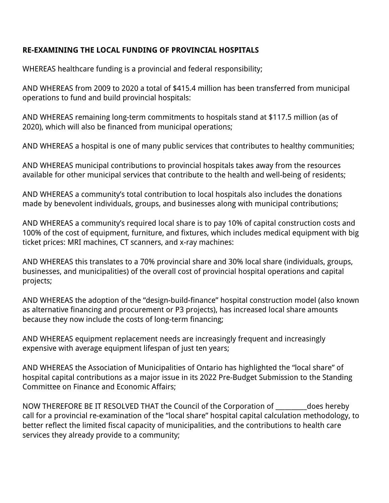## **RE-EXAMINING THE LOCAL FUNDING OF PROVINCIAL HOSPITALS**

WHEREAS healthcare funding is a provincial and federal responsibility;

AND WHEREAS from 2009 to 2020 a total of \$415.4 million has been transferred from municipal operations to fund and build provincial hospitals:

AND WHEREAS remaining long-term commitments to hospitals stand at \$117.5 million (as of 2020), which will also be financed from municipal operations;

AND WHEREAS a hospital is one of many public services that contributes to healthy communities;

AND WHEREAS municipal contributions to provincial hospitals takes away from the resources available for other municipal services that contribute to the health and well-being of residents;

AND WHEREAS a community's total contribution to local hospitals also includes the donations made by benevolent individuals, groups, and businesses along with municipal contributions;

AND WHEREAS a community's required local share is to pay 10% of capital construction costs and 100% of the cost of equipment, furniture, and fixtures, which includes medical equipment with big ticket prices: MRI machines, CT scanners, and x-ray machines:

AND WHEREAS this translates to a 70% provincial share and 30% local share (individuals, groups, businesses, and municipalities) of the overall cost of provincial hospital operations and capital projects;

AND WHEREAS the adoption of the "design-build-finance" hospital construction model (also known as alternative financing and procurement or P3 projects), has increased local share amounts because they now include the costs of long-term financing;

AND WHEREAS equipment replacement needs are increasingly frequent and increasingly expensive with average equipment lifespan of just ten years;

AND WHEREAS the Association of Municipalities of Ontario has highlighted the "local share" of hospital capital contributions as a major issue in its 2022 Pre-Budget Submission to the Standing Committee on Finance and Economic Affairs;

NOW THEREFORE BE IT RESOLVED THAT the Council of the Corporation of \_\_\_\_\_\_\_\_\_\_does hereby call for a provincial re-examination of the "local share" hospital capital calculation methodology, to better reflect the limited fiscal capacity of municipalities, and the contributions to health care services they already provide to a community;